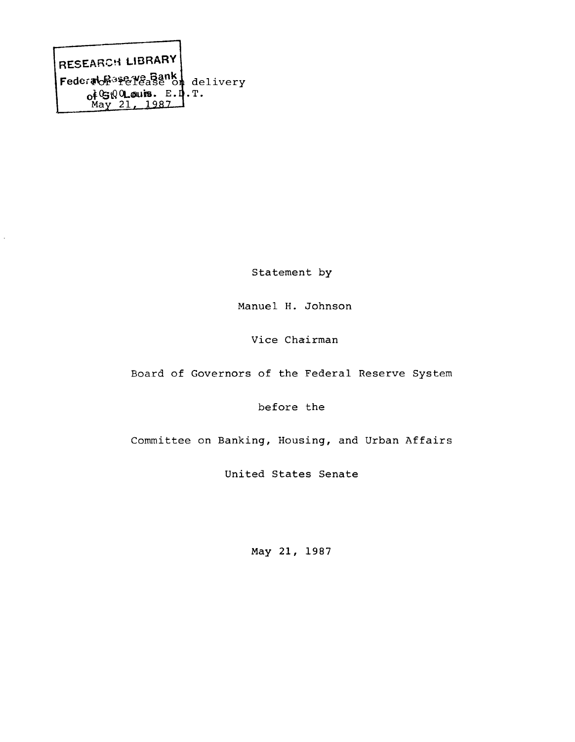RESEARCH LIBRARY Federabe<sup>35</sup>e lease of delivery ofGiQOLouis. E. **.....,.M?-Y—2. l r 1.2.,8 2 -i** , T .

Statement by

Manuel H. Johnson

Vice Chairman

Board of Governors of the Federal Reserve System

before the

Committee on Banking, Housing, and Urban Affairs

United States Senate

May 21, 1987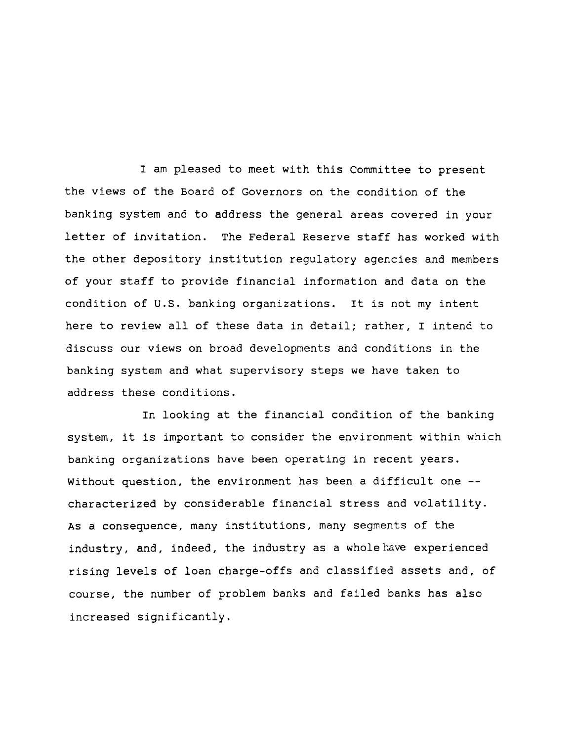I am pleased to meet with this Committee to present the views of the Board of Governors on the condition of the banking system and to address the general areas covered in your letter of invitation. The Federal Reserve staff has worked with the other depository institution regulatory agencies and members of your staff to provide financial information and data on the condition of U.S. banking organizations. It is not my intent here to review all of these data in detail; rather, I intend to discuss our views on broad developments and conditions in the banking system and what supervisory steps we have taken to address these conditions.

In looking at the financial condition of the banking system, it is important to consider the environment within which banking organizations have been operating in recent years. Without question, the environment has been a difficult one -characterized by considerable financial stress and volatility. As a consequence, many institutions, many segments of the industry, and, indeed, the industry as a whole have experienced rising levels of loan charge-offs and classified assets and, of course, the number of problem banks and failed banks has also increased significantly.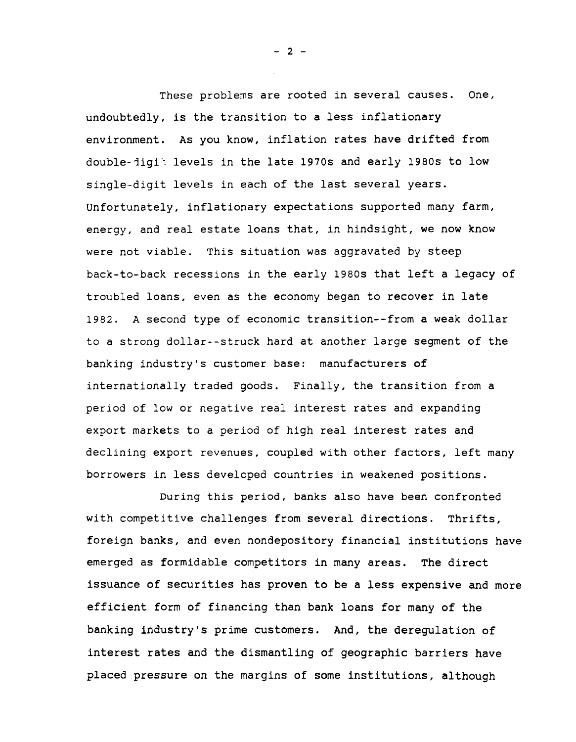These problems are rooted in several causes. One, undoubtedly, is the transition to a less inflationary environment. As you know, inflation rates have drifted from double-jigit levels in the late 1970s and early 1980s to low single-digit levels in each of the last several years. Unfortunately, inflationary expectations supported many farm, energy, and real estate loans that, in hindsight, we now know were not viable. This situation was aggravated by steep back-to-back recessions in the early 1980s that left a legacy of troubled loans, even as the economy began to recover in late 1982. A second type of economic transition--from a weak dollar to a strong dollar--struck hard at another large segment of the banking industry's customer base: manufacturers of internationally traded goods. Finally, the transition from a period of low or negative real interest rates and expanding export markets to a period of high real interest rates and declining export revenues, coupled with other factors, left many borrowers in less developed countries in weakened positions.

During this period, banks also have been confronted with competitive challenges from several directions. Thrifts, foreign banks, and even nondepository financial institutions have emerged as formidable competitors in many areas. The direct issuance of securities has proven to be a less expensive and more efficient form of financing than bank loans for many of the banking industry's prime customers. And, the deregulation of interest rates and the dismantling of geographic barriers have placed pressure on the margins of some institutions, although

**- 2 -**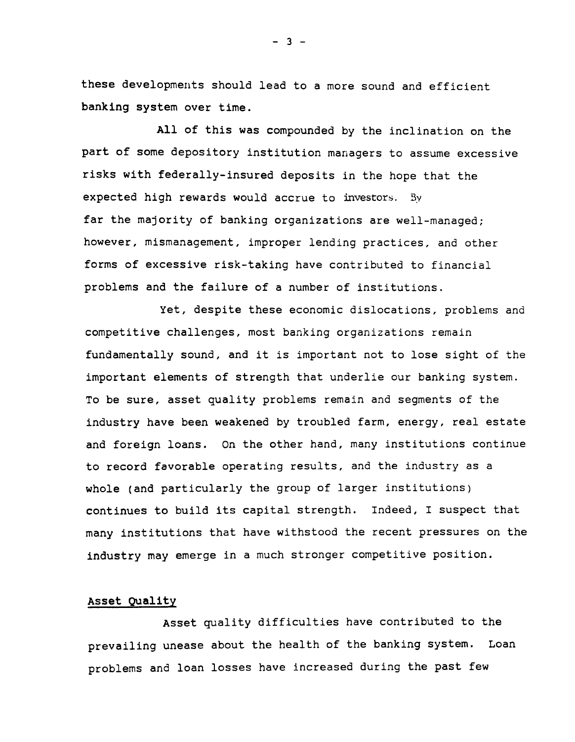these developments should lead to a more sound and efficient banking system over time.

All of this was compounded by the inclination on the part of some depository institution managers to assume excessive risks with federally-insured deposits in the hope that the expected high rewards would accrue to investors. 3y far the majority of banking organizations are well-managed; however, mismanagement, improper lending practices, and other forms of excessive risk-taking have contributed to financial problems and the failure of a number of institutions.

Yet, despite these economic dislocations, problems and competitive challenges, most banking organizations remain fundamentally sound, and it is important not to lose sight of the important elements of strength that underlie our banking system. To be sure, asset quality problems remain and segments of the industry have been weakened by troubled farm, energy, real estate and foreign loans. On the other hand, many institutions continue to record favorable operating results, and the industry as a whole (and particularly the group of larger institutions) continues to build its capital strength. Indeed, I suspect that many institutions that have withstood the recent pressures on the industry may emerge in a much stronger competitive position.

# Asset Quality

Asset quality difficulties have contributed to the prevailing unease about the health of the banking system. Loan problems and loan losses have increased during the past few

**- 3 -**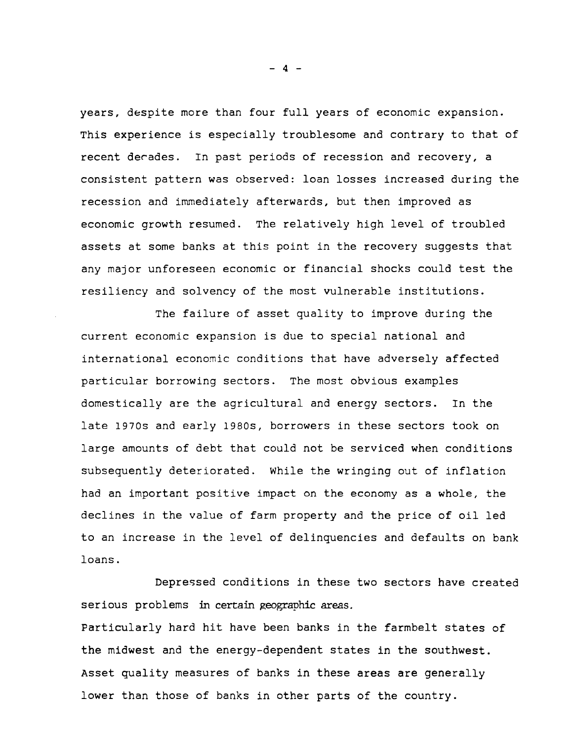years, despite more than four full years of economic expansion. This experience is especially troublesome and contrary to that of recent decades. In past periods of recession and recovery, a consistent pattern was observed: loan losses increased during the recession and immediately afterwards, but then improved as economic growth resumed. The relatively high level of troubled assets at some banks at this point in the recovery suggests that any major unforeseen economic or financial shocks could test the resiliency and solvency of the most vulnerable institutions.

The failure of asset quality to improve during the current economic expansion is due to special national and international economic conditions that have adversely affected particular borrowing sectors. The most obvious examples domestically are the agricultural and energy sectors. In the late 1970s and early 1980s, borrowers in these sectors took on large amounts of debt that could not be serviced when conditions subsequently deteriorated. While the wringing out of inflation had an important positive impact on the economy as a whole, the declines in the value of farm property and the price of oil led to an increase in the level of delinquencies and defaults on bank loans.

Depressed conditions in these two sectors have created serious problems in certain geographic areas.

Particularly hard hit have been banks in the farmbelt states of the midwest and the energy-dependent states in the southwest. Asset quality measures of banks in these areas are generally lower than those of banks in other parts of the country.

**- 4 -**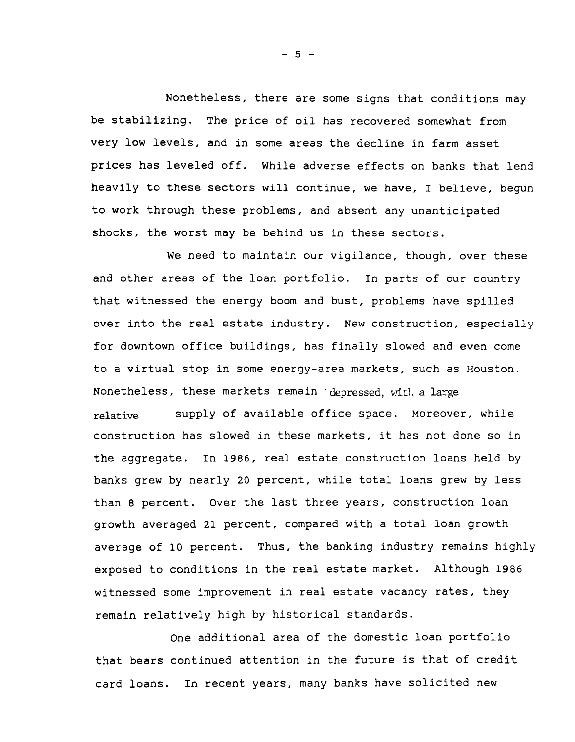Nonetheless, there are some signs that conditions may be stabilizing. The price of oil has recovered somewhat from very low levels, and in some areas the decline in farm asset prices has leveled off. while adverse effects on banks that lend heavily to these sectors will continue, we have, I believe, begun to work through these problems, and absent any unanticipated shocks, the worst may be behind us in these sectors.

We need to maintain our vigilance, though, over these and other areas of the loan portfolio. In parts of our country that witnessed the energy boom and bust, problems have spilled over into the real estate industry. New construction, especially for downtown office buildings, has finally slowed and even come to a virtual stop in some energy-area markets, such as Houston. Nonetheless, these markets remain depressed, with a large relative supply of available office space. Moreover, while construction has slowed in these markets, it has not done so in the aggregate. In 1986, real estate construction loans held by banks grew by nearly 20 percent, while total loans grew by less than 8 percent. Over the last three years, construction loan growth averaged 21 percent, compared with a total loan growth average of 10 percent. Thus, the banking industry remains highly exposed to conditions in the real estate market. Although 1986 witnessed some improvement in real estate vacancy rates, they remain relatively high by historical standards.

One additional area of the domestic loan portfolio that bears continued attention in the future is that of credit card loans. In recent years, many banks have solicited new

**- 5 -**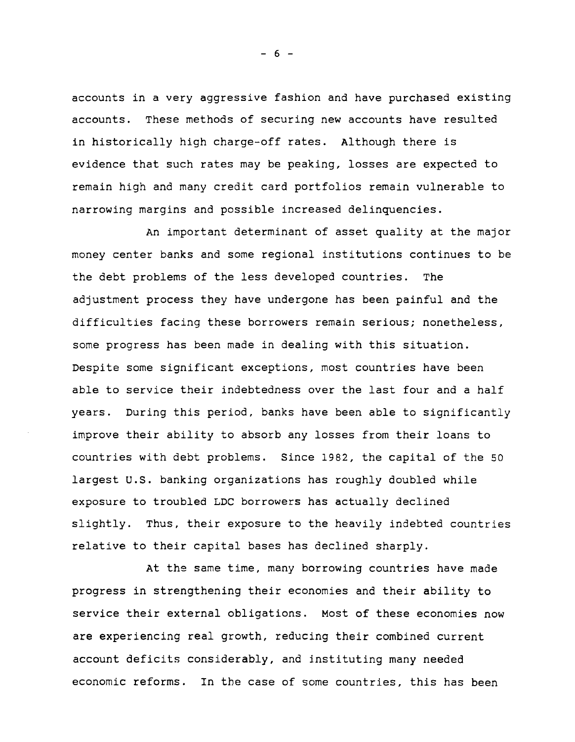accounts in a very aggressive fashion and have purchased existing accounts. These methods of securing new accounts have resulted in historically high charge-off rates. Although there is evidence that such rates may be peaking, losses are expected to remain high and many credit card portfolios remain vulnerable to narrowing margins and possible increased delinquencies.

An important determinant of asset quality at the major money center banks and some regional institutions continues to be the debt problems of the less developed countries. The adjustment process they have undergone has been painful and the difficulties facing these borrowers remain serious; nonetheless, some progress has been made in dealing with this situation. Despite some significant exceptions, most countries have been able to service their indebtedness over the last four and a half years. During this period, banks have been able to significantly improve their ability to absorb any losses from their loans to countries with debt problems. Since 1982, the capital of the 50 largest U.S. banking organizations has roughly doubled while exposure to troubled LDC borrowers has actually declined slightly. Thus, their exposure to the heavily indebted countries relative to their capital bases has declined sharply.

At the same time, many borrowing countries have made progress in strengthening their economies and their ability to service their external obligations. Most of these economies now are experiencing real growth, reducing their combined current account deficits considerably, and instituting many needed economic reforms. In the case of some countries, this has been

**- 6 -**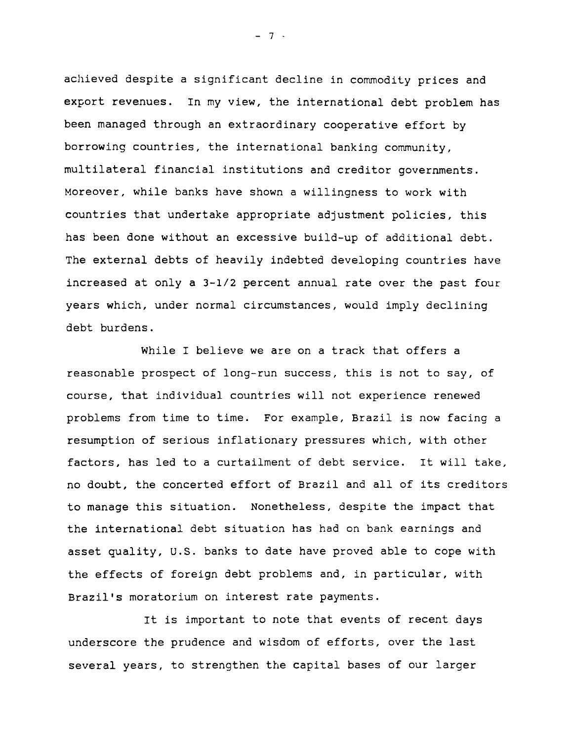achieved despite a significant decline in commodity prices and export revenues. In my view, the international debt problem has been managed through an extraordinary cooperative effort by borrowing countries, the international banking community, multilateral financial institutions and creditor governments. Moreover, while banks have shown a willingness to work with countries that undertake appropriate adjustment policies, this has been done without an excessive build-up of additional debt. The external debts of heavily indebted developing countries have increased at only a 3-1/2 percent annual rate over the past four years which, under normal circumstances, would imply declining debt burdens.

While I believe we are on a track that offers a reasonable prospect of long-run success, this is not to say, of course, that individual countries will not experience renewed problems from time to time. For example, Brazil is now facing a resumption of serious inflationary pressures which, with other factors, has led to a curtailment of debt service. It will take, no doubt, the concerted effort of Brazil and all of its creditors to manage this situation. Nonetheless, despite the impact that the international debt situation has had on bank earnings and asset quality, U.S. banks to date have proved able to cope with the effects of foreign debt problems and, in particular, with Brazil's moratorium on interest rate payments.

It is important to note that events of recent days underscore the prudence and wisdom of efforts, over the last several years, to strengthen the capital bases of our larger

**- 7**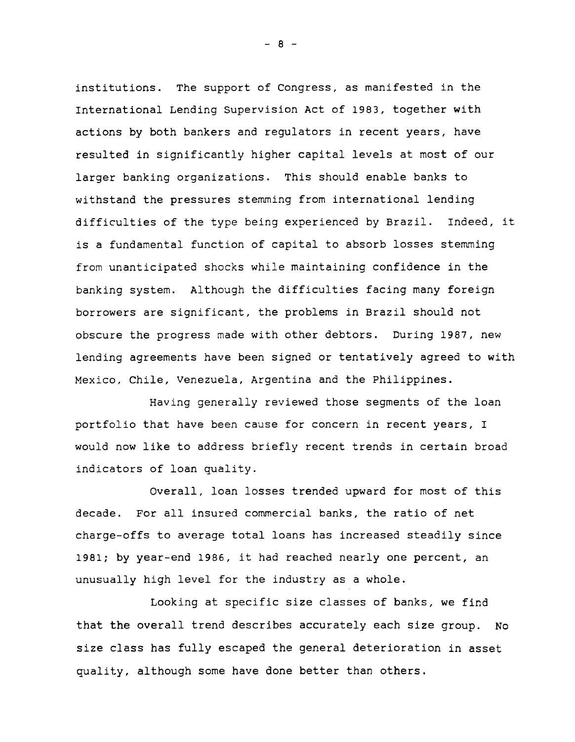institutions. The support of Congress, as manifested in the International Lending Supervision Act of 1983, together with actions by both bankers and regulators in recent years, have resulted in significantly higher capital levels at most of our larger banking organizations. This should enable banks to withstand the pressures stemming from international lending difficulties of the type being experienced by Brazil. Indeed, it is a fundamental function of capital to absorb losses stemming from unanticipated shocks while maintaining confidence in the banking system. Although the difficulties facing many foreign borrowers are significant, the problems in Brazil should not obscure the progress made with other debtors. During 1987, new lending agreements have been signed or tentatively agreed to with Mexico, Chile, Venezuela, Argentina and the Philippines.

Having generally reviewed those segments of the loan portfolio that have been cause for concern in recent years, I would now like to address briefly recent trends in certain broad indicators of loan quality.

Overall, loan losses trended upward for most of this decade. For all insured commercial banks, the ratio of net charge-offs to average total loans has increased steadily since 1981; by year-end 1986, it had reached nearly one percent, an unusually high level for the industry as a whole.

Looking at specific size classes of banks, we find that the overall trend describes accurately each size group. No size class has fully escaped the general deterioration in asset quality, although some have done better than others.

**- 8 -**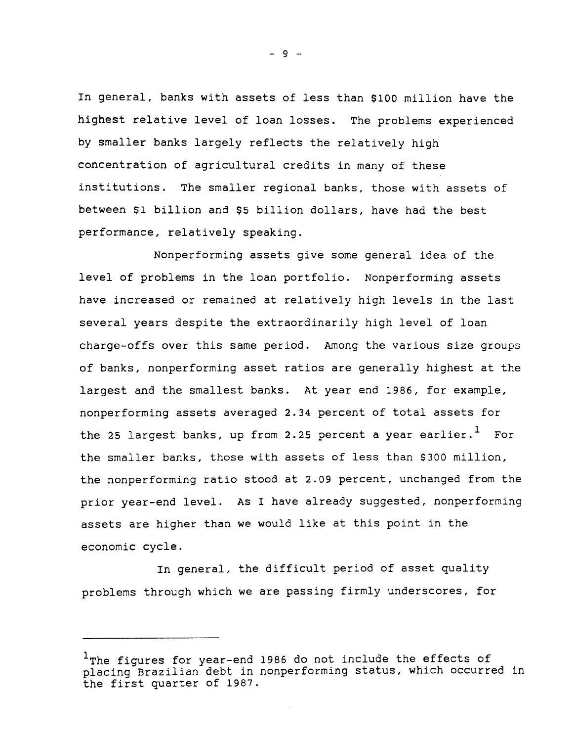In general, banks with assets of less than \$100 million have the highest relative level of loan losses. The problems experienced by smaller banks largely reflects the relatively high concentration of agricultural credits in many of these institutions. The smaller regional banks, those with assets of between \$1 billion and \$5 billion dollars, have had the best performance, relatively speaking.

Nonperforming assets give some general idea of the level of problems in the loan portfolio. Nonperforming assets have increased or remained at relatively high levels in the last several years despite the extraordinarily high level of loan charge-offs over this same period. Among the various size groups of banks, nonperforming asset ratios are generally highest at the largest and the smallest banks. At year end 1986, for example, nonperforming assets averaged 2.34 percent of total assets for the 25 largest banks, up from 2.25 percent a year earlier.<sup>1</sup> For the smaller banks, those with assets of less than \$300 million, the nonperforming ratio stood at 2.09 percent, unchanged from the prior year-end level. As I have already suggested, nonperforming assets are higher than we would like at this point in the economic cycle.

In general, the difficult period of asset quality problems through which we are passing firmly underscores, for

 $-9 -$ 

<sup>&</sup>lt;sup>1</sup>The figures for year-end 1986 do not include the effects of placing Brazilian debt in nonperforming status, which occurred in the first quarter of 1987.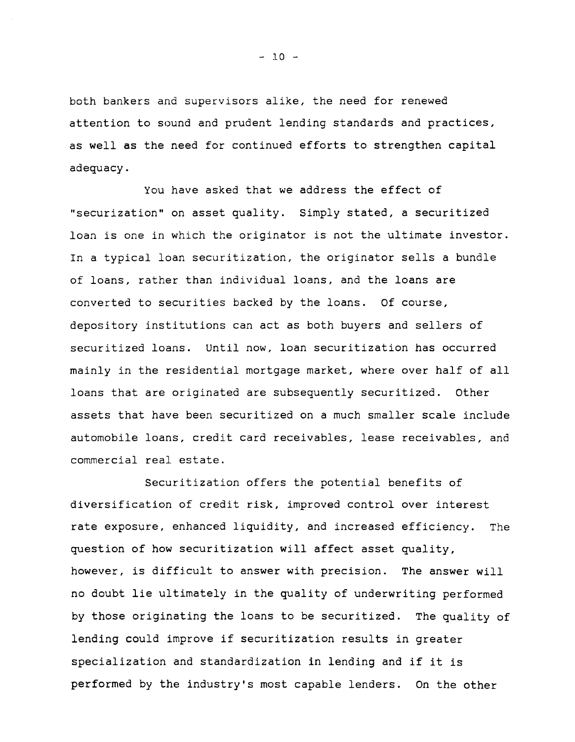both bankers and supervisors alike, the need for renewed attention to sound and prudent lending standards and practices, as well as the need for continued efforts to strengthen capital adequacy.

You have asked that we address the effect of "securization" on asset quality. Simply stated, a securitized loan is one in which the originator is not the ultimate investor. In a typical loan securitization, the originator sells a bundle of loans, rather than individual loans, and the loans are converted to securities backed by the loans. Of course, depository institutions can act as both buyers and sellers of securitized loans. Until now, loan securitization has occurred mainly in the residential mortgage market, where over half of all loans that are originated are subsequently securitized. Other assets that have been securitized on a much smaller scale include automobile loans, credit card receivables, lease receivables, and commercial real estate.

Securitization offers the potential benefits of diversification of credit risk, improved control over interest rate exposure, enhanced liquidity, and increased efficiency. The question of how securitization will affect asset quality, however, is difficult to answer with precision. The answer will no doubt lie ultimately in the quality of underwriting performed by those originating the loans to be securitized. The quality of lending could improve if securitization results in greater specialization and standardization in lending and if it is performed by the industry's most capable lenders. On the other

**- 10 -**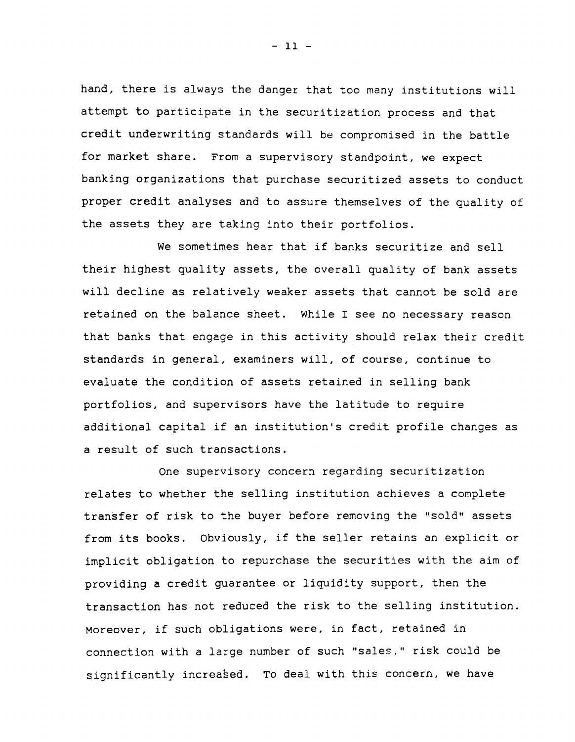hand, there is always the danger that too many institutions will attempt to participate in the securitization process and that credit underwriting standards will be compromised in the battle for market share. From a supervisory standpoint, we expect banking organizations that purchase securitized assets to conduct proper credit analyses and to assure themselves of the quality of the assets they are taking into their portfolios.

We sometimes hear that if banks securitize and sell their highest quality assets, the overall quality of bank assets will decline as relatively weaker assets that cannot be sold are retained on the balance sheet. While I see no necessary reason that banks that engage in this activity should relax their credit standards in general, examiners will, of course, continue to evaluate the condition of assets retained in selling bank portfolios, and supervisors have the latitude to require additional capital if an institution's credit profile changes as a result of such transactions.

One supervisory concern regarding securitization relates to whether the selling institution achieves a complete transfer of risk to the buyer before removing the "sold" assets from its books. Obviously, if the seller retains an explicit or implicit obligation to repurchase the securities with the aim of providing a credit guarantee or liquidity support, then the transaction has not reduced the risk to the selling institution. Moreover, if such obligations were, in fact, retained in connection with a large number of such "sales," risk could be significantly increased. To deal with this concern, we have

**- 11 -**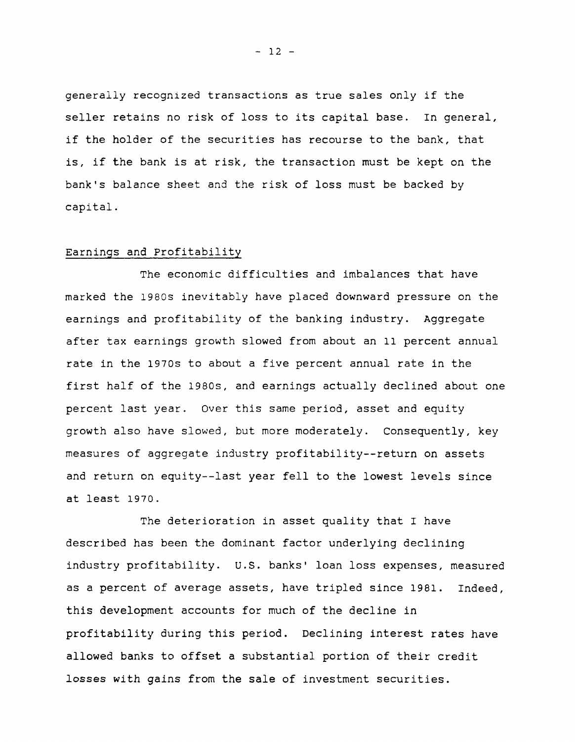generally recognized transactions as true sales only if the seller retains no risk of loss to its capital base. In general, if the holder of the securities has recourse to the bank, that is, if the bank is at risk, the transaction must be kept on the bank's balance sheet and the risk of loss must be backed by capital.

### Earnings and Profitability

The economic difficulties and imbalances that have marked the 1980s inevitably have placed downward pressure on the earnings and profitability of the banking industry. Aggregate after tax earnings growth slowed from about an 11 percent annual rate in the 1970s to about a five percent annual rate in the first half of the 1980s, and earnings actually declined about one percent last year. Over this same period, asset and equity growth also have slowed, but more moderately. Consequently, key measures of aggregate industry profitability--return on assets and return on equity--last year fell to the lowest levels since at least 1970.

The deterioration in asset quality that I have described has been the dominant factor underlying declining industry profitability. U.S. banks' loan loss expenses, measured as a percent of average assets, have tripled since 1981. Indeed, this development accounts for much of the decline in profitability during this period. Declining interest rates have allowed banks to offset a substantial portion of their credit losses with gains from the sale of investment securities.

**- 12 -**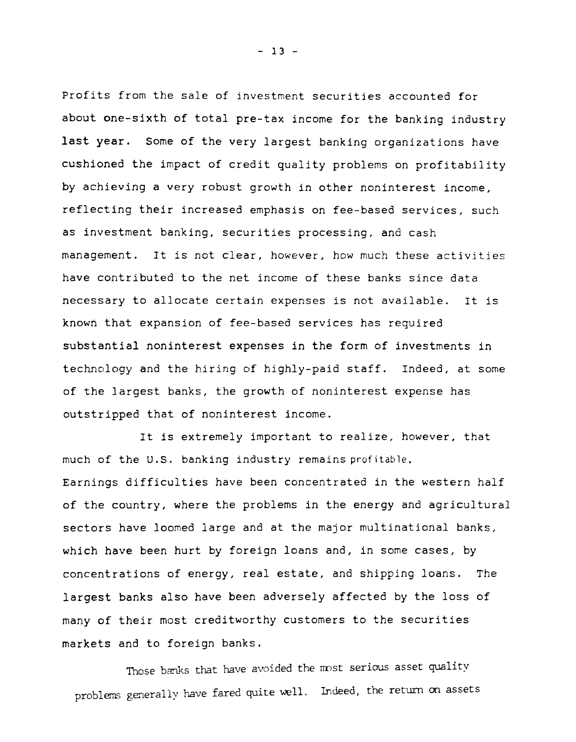Profits from the sale of investment securities accounted for about one-sixth of total pre-tax income for the banking industry last year. Some of the very largest banking organizations have cushioned the impact of credit quality problems on profitability by achieving a very robust growth in other noninterest income, reflecting their increased emphasis on fee-based services, such as investment banking, securities processing, and cash management. It is not clear, however, how much these activities have contributed to the net income of these banks since data necessary to allocate certain expenses is not available. It is known that expansion of fee-based services has required substantial noninterest expenses in the form of investments in technology and the hiring of highly-paid staff. Indeed, at some of the largest banks, the growth of noninterest expense has outstripped that of noninterest income.

It is extremely important to realize, however, that much of the U.S. banking industry remains profitable. Earnings difficulties have been concentrated in the western half of the country, where the problems in the energy and agricultural sectors have loomed large and at the major multinational banks, which have been hurt by foreign loans and, in some cases, by concentrations of energy, real estate, and shipping loans. The largest banks also have been adversely affected by the loss of many of their most creditworthy customers to the securities markets and to foreign banks.

Those banks that have avoided the most serious asset quality problems generally have fared quite well. Indeed, the return on assets

**- 13 -**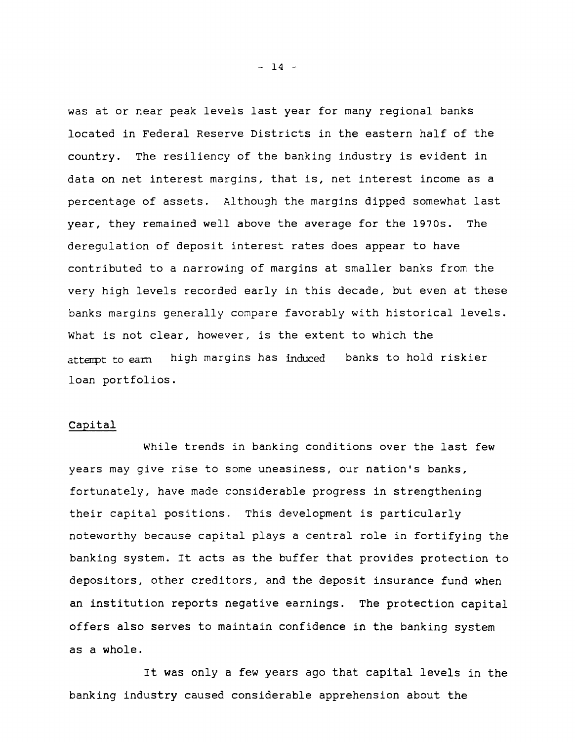was at or near peak levels last year for many regional banks located in Federal Reserve Districts in the eastern half of the country. The resiliency of the banking industry is evident in data on net interest margins, that is, net interest income as a percentage of assets. Although the margins dipped somewhat last year, they remained well above the average for the 1970s. The deregulation of deposit interest rates does appear to have contributed to a narrowing of margins at smaller banks from the very high levels recorded early in this decade, but even at these banks margins generally compare favorably with historical levels. What is not clear, however, is the extent to which the attempt to earn high margins has induced banks to hold riskier loan portfolios.

## Capital

While trends in banking conditions over the last few years may give rise to some uneasiness, our nation's banks, fortunately, have made considerable progress in strengthening their capital positions. This development is particularly noteworthy because capital plays a central role in fortifying the banking system. It acts as the buffer that provides protection to depositors, other creditors, and the deposit insurance fund when an institution reports negative earnings. The protection capital offers also serves to maintain confidence in the banking system as a whole.

It was only a few years ago that capital levels in the banking industry caused considerable apprehension about the

**- 14 -**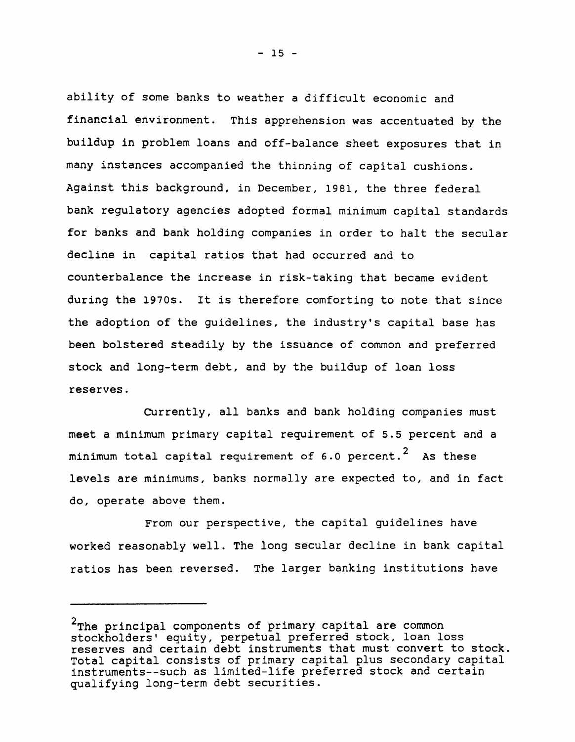ability of some banks to weather a difficult economic and financial environment. This apprehension was accentuated by the buildup in problem loans and off-balance sheet exposures that in many instances accompanied the thinning of capital cushions. Against this background, in December, 1981, the three federal bank regulatory agencies adopted formal minimum capital standards for banks and bank holding companies in order to halt the secular decline in capital ratios that had occurred and to counterbalance the increase in risk-taking that became evident during the 1970s. It is therefore comforting to note that since the adoption of the guidelines, the industry's capital base has been bolstered steadily by the issuance of common and preferred stock and long-term debt, and by the buildup of loan loss reserves.

Currently, all banks and bank holding companies must meet a minimum primary capital requirement of 5.5 percent and a minimum total capital requirement of 6.0 percent. $^{\text{2}}$  As these levels are minimums, banks normally are expected to, and in fact do, operate above them.

From our perspective, the capital guidelines have worked reasonably well. The long secular decline in bank capital ratios has been reversed. The larger banking institutions have

**- 15 -**

 $\overline{\mathbf{c}}$ The principal components of primary capital are common stockholders' equity, perpetual preferred stock, loan loss reserves and certain debt instruments that must convert to stock. Total capital consists of primary capital plus secondary capital instruments— such as limited-life preferred stock and certain qualifying long-term debt securities.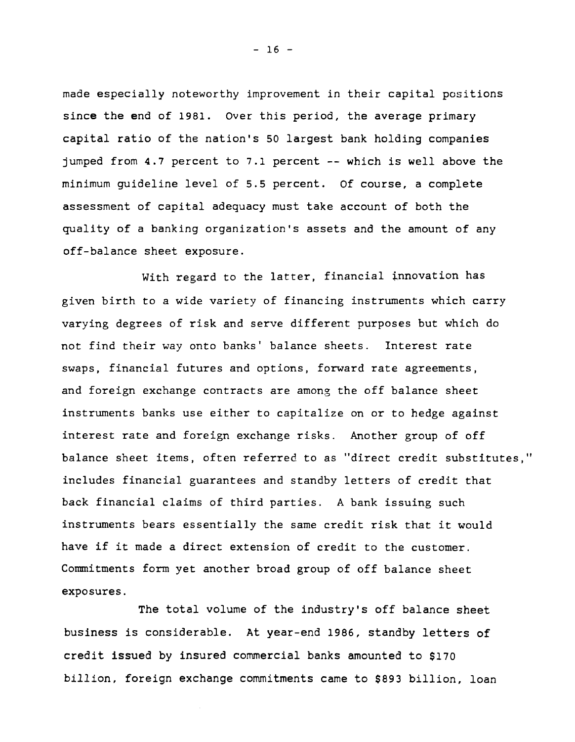made especially noteworthy improvement in their capital positions since the end of 1981. Over this period, the average primary capital ratio of the nation's 50 largest bank holding companies jumped from 4.7 percent to 7.1 percent -- which is well above the minimum guideline level of 5.5 percent. Of course, a complete assessment of capital adequacy must take account of both the quality of a banking organization's assets and the amount of any off-balance sheet exposure.

With regard to the latter, financial innovation has given birth to a wide variety of financing instruments which carry varying degrees of risk and serve different purposes but which do not find their way onto banks' balance sheets. Interest rate swaps, financial futures and options, forward rate agreements, and foreign exchange contracts are among the off balance sheet instruments banks use either to capitalize on or to hedge against interest rate and foreign exchange risks. Another group of off balance sheet items, often referred to as "direct credit substitutes," includes financial guarantees and standby letters of credit that back financial claims of third parties. A bank issuing such instruments bears essentially the same credit risk that it would have if it made a direct extension of credit to the customer. Commitments form yet another broad group of off balance sheet exposures.

The total volume of the industry's off balance sheet business is considerable. At year-end 1986, standby letters of credit issued by insured commercial banks amounted to \$170 billion, foreign exchange commitments came to \$893 billion, loan

**- 16 -**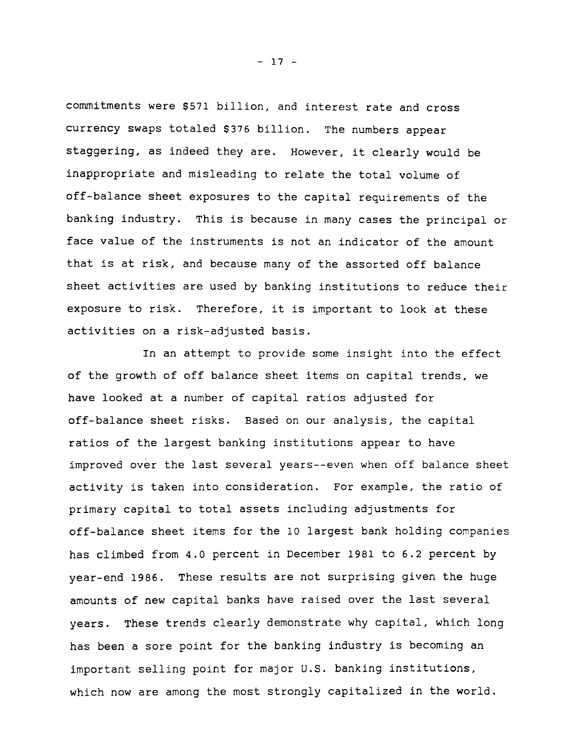commitments were \$571 billion, and interest rate and cross currency swaps totaled \$376 billion. The numbers appear staggering, as indeed they are. However, it clearly would be inappropriate and misleading to relate the total volume of off-balance sheet exposures to the capital requirements of the banking industry. This is because in many cases the principal or face value of the instruments is not an indicator of the amount that is at risk, and because many of the assorted off balance sheet activities are used by banking institutions to reduce their exposure to risk. Therefore, it is important to look at these activities on a risk-adjusted basis.

In an attempt to provide some insight into the effect of the growth of off balance sheet items on capital trends, we have looked at a number of capital ratios adjusted for off-balance sheet risks. Based on our analysis, the capital ratios of the largest banking institutions appear to have improved over the last several years— even when off balance sheet activity is taken into consideration. For example, the ratio of primary capital to total assets including adjustments for off-balance sheet items for the 10 largest bank holding companies has climbed from 4.0 percent in December 1981 to 6.2 percent by year-end 1986. These results are not surprising given the huge amounts of new capital banks have raised over the last several years. These trends clearly demonstrate why capital, which long has been a sore point for the banking industry is becoming an important selling point for major U.S. banking institutions, which now are among the most strongly capitalized in the world.

**- 17 -**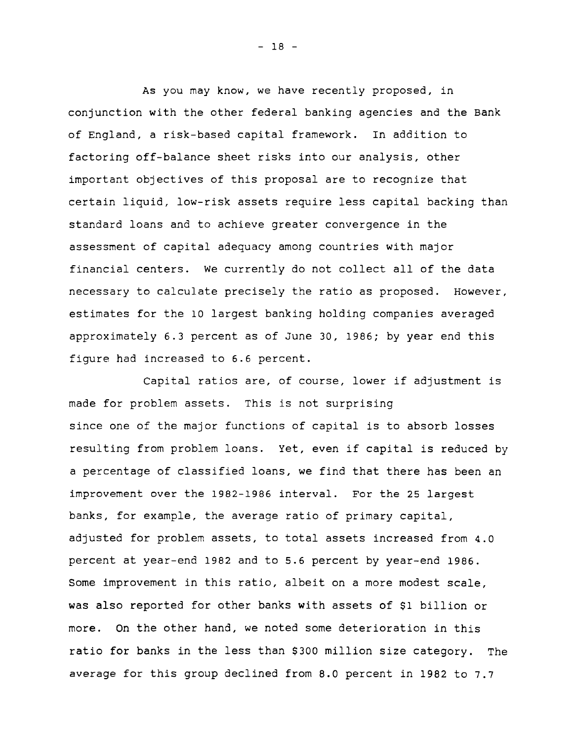As you may know, we have recently proposed, in conjunction with the other federal banking agencies and the Bank of England, a risk-based capital framework. In addition to factoring off-balance sheet risks into our analysis, other important objectives of this proposal are to recognize that certain liquid, low-risk assets require less capital backing than standard loans and to achieve greater convergence in the assessment of capital adequacy among countries with major financial centers. We currently do not collect all of the data necessary to calculate precisely the ratio as proposed. However, estimates for the 10 largest banking holding companies averaged approximately 6.3 percent as of June 30, 1986; by year end this figure had increased to 6.6 percent.

Capital ratios are, of course, lower if adjustment is made for problem assets. This is not surprising since one of the major functions of capital is to absorb losses resulting from problem loans. Yet, even if capital is reduced by a percentage of classified loans, we find that there has been an improvement over the 1982-1986 interval. For the 25 largest banks, for example, the average ratio of primary capital, adjusted for problem assets, to total assets increased from 4.0 percent at year-end 1982 and to 5.6 percent by year-end 1986. Some improvement in this ratio, albeit on a more modest scale, was also reported for other banks with assets of \$1 billion or more. On the other hand, we noted some deterioration in this ratio for banks in the less than \$300 million size category. The average for this group declined from 8.0 percent in 1982 to 7.7

**- 18 -**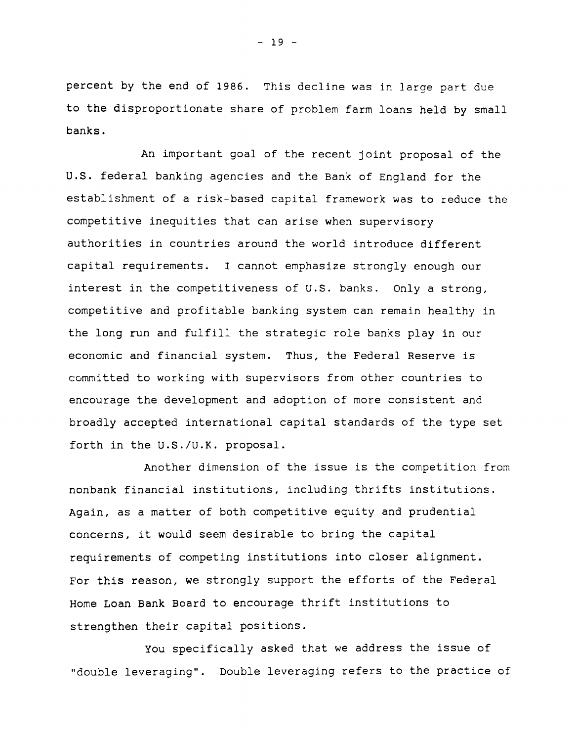percent by the end of 1986. This decline was in large part due to the disproportionate share of problem farm loans held by small banks.

An important goal of the recent joint proposal of the U.S. federal banking agencies and the Bank of England for the establishment of a risk-based capital framework was to reduce the competitive inequities that can arise when supervisory authorities in countries around the world introduce different capital requirements. I cannot emphasize strongly enough our interest in the competitiveness of U.S. banks. Only a strong, competitive and profitable banking system can remain healthy in the long run and fulfill the strategic role banks play in our economic and financial system. Thus, the Federal Reserve is committed to working with supervisors from other countries to encourage the development and adoption of more consistent and broadly accepted international capital standards of the type set forth in the U.S./U.K. proposal.

Another dimension of the issue is the competition from nonbank financial institutions, including thrifts institutions. Again, as a matter of both competitive equity and prudential concerns, it would seem desirable to bring the capital requirements of competing institutions into closer alignment. For this reason, we strongly support the efforts of the Federal Home Loan Bank Board to encourage thrift institutions to strengthen their capital positions.

You specifically asked that we address the issue of "double leveraging". Double leveraging refers to the practice of

**- 19 -**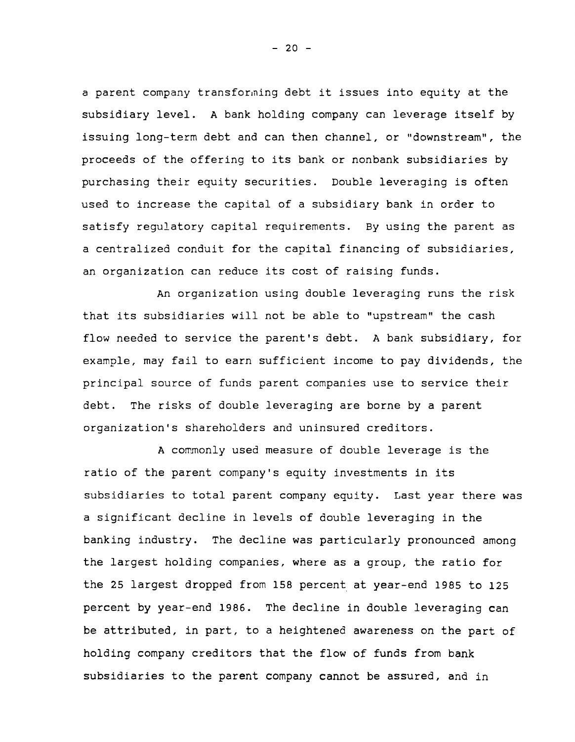a parent company transforming debt it issues into equity at the subsidiary level. A bank holding company can leverage itself by issuing long-term debt and can then channel, or "downstream", the proceeds of the offering to its bank or nonbank subsidiaries by purchasing their equity securities. Double leveraging is often used to increase the capital of a subsidiary bank in order to satisfy regulatory capital requirements. By using the parent as a centralized conduit for the capital financing of subsidiaries, an organization can reduce its cost of raising funds.

An organization using double leveraging runs the risk that its subsidiaries will not be able to "upstream" the cash flow needed to service the parent's debt. A bank subsidiary, for example, may fail to earn sufficient income to pay dividends, the principal source of funds parent companies use to service their debt. The risks of double leveraging are borne by a parent organization's shareholders and uninsured creditors.

A commonly used measure of double leverage is the ratio of the parent company's equity investments in its subsidiaries to total parent company equity. Last year there was a significant decline in levels of double leveraging in the banking industry. The decline was particularly pronounced among the largest holding companies, where as a group, the ratio for the 25 largest dropped from 158 percent at year-end 1985 to 125 percent by year-end 1986. The decline in double leveraging can be attributed, in part, to a heightened awareness on the part of holding company creditors that the flow of funds from bank subsidiaries to the parent company cannot be assured, and in

**- 20 -**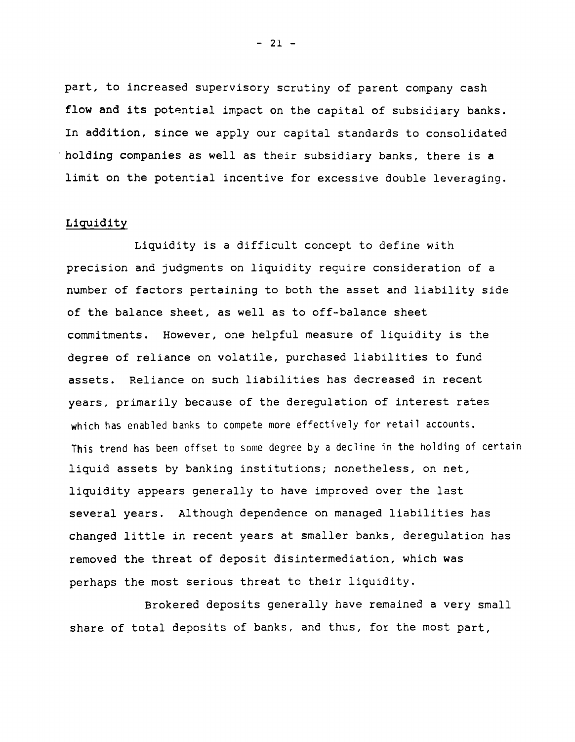part, to increased supervisory scrutiny of parent company cash flow and its potential impact on the capital of subsidiary banks. In addition, since we apply our capital standards to consolidated holding companies as well as their subsidiary banks, there is a limit on the potential incentive for excessive double leveraging.

## **Liquidity**

Liquidity is a difficult concept to define with precision and judgments on liquidity require consideration of a number of factors pertaining to both the asset and liability side of the balance sheet, as well as to off-balance sheet commitments. However, one helpful measure of liquidity is the degree of reliance on volatile, purchased liabilities to fund assets. Reliance on such liabilities has decreased in recent years, primarily because of the deregulation of interest rates which has enabled banks to compete more effectively for retail accounts. **This** trend has been offset to some degree by a decline in the holding of certain liquid assets by banking institutions; nonetheless, on net, liquidity appears generally to have improved over the last several years. Although dependence on managed liabilities has changed little in recent years at smaller banks, deregulation has removed the threat of deposit disintermediation, which was perhaps the most serious threat to their liquidity.

Brokered deposits generally have remained a very small share of total deposits of banks, and thus, for the most part.

**- 21 -**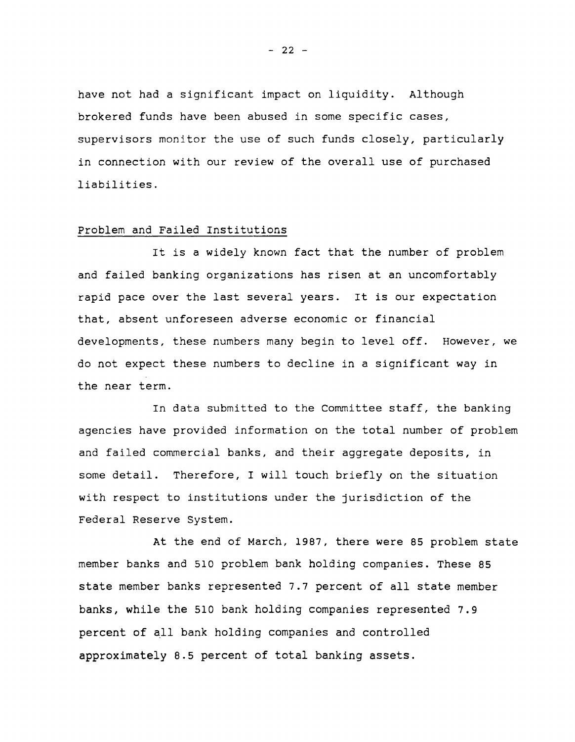have not had a significant impact on liquidity. Although brokered funds have been abused in some specific cases, supervisors monitor the use of such funds closely, particularly in connection with our review of the overall use of purchased liabilities.

### Problem and Failed Institutions

It is a widely known fact that the number of problem and failed banking organizations has risen at an uncomfortably rapid pace over the last several years. It is our expectation that, absent unforeseen adverse economic or financial developments, these numbers many begin to level off. However, we do not expect these numbers to decline in a significant way in the near term.

In data submitted to the Committee staff, the banking agencies have provided information on the total number of problem and failed commercial banks, and their aggregate deposits, in some detail. Therefore, I will touch briefly on the situation with respect to institutions under the jurisdiction of the Federal Reserve System.

At the end of March, 1987, there were 85 problem state member banks and 510 problem bank holding companies. These 85 state member banks represented 7.7 percent of all state member banks, while the 510 bank holding companies represented 7.9 percent of all bank holding companies and controlled approximately 8.5 percent of total banking assets.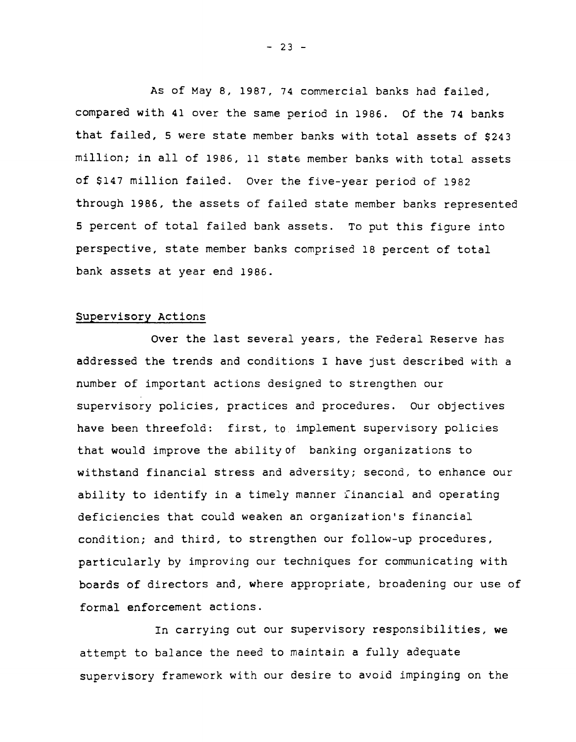As of May 8, 1987, 74 commercial banks had failed, compared with 41 over the same period in 1986. Of the 74 banks that failed, 5 were state member banks with total assets of \$243 million; in all of 1986, 11 state member banks with total assets of \$147 million failed. Over the five-year period of 1982 through 1986, the assets of failed state member banks represented 5 percent of total failed bank assets. To put this figure into perspective, state member banks comprised 18 percent of total bank assets at year end 1986.

## Supervisory Actions

Over the last several years, the Federal Reserve has addressed the trends and conditions I have just described with a number of important actions designed to strengthen our supervisory policies, practices and procedures. Our objectives have been threefold: first, to implement supervisory policies that would improve the ability of banking organizations to withstand financial stress and adversity; second, to enhance our ability to identify in a timely manner financial and operating deficiencies that could weaken an organization's financial condition; and third, to strengthen our follow-up procedures, particularly by improving our techniques for communicating with boards of directors and, where appropriate, broadening our use of formal enforcement actions.

In carrying out our supervisory responsibilities, we attempt to balance the need to maintain a fully adequate supervisory framework with our desire to avoid impinging on the

**- 23 -**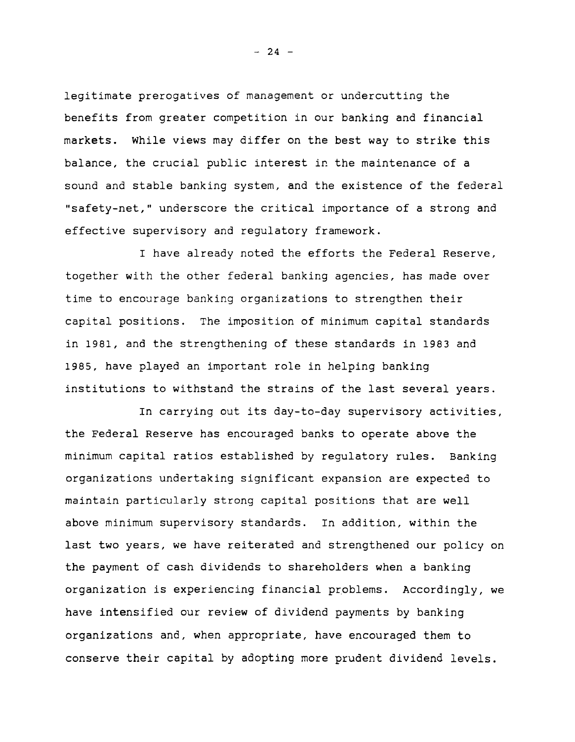legitimate prerogatives of management or undercutting the benefits from greater competition in our banking and financial markets. While views may differ on the best way to strike this balance, the crucial public interest in the maintenance of a sound and stable banking system, and the existence of the federal "safety-net," underscore the critical importance of a strong and effective supervisory and regulatory framework.

I have already noted the efforts the Federal Reserve, together with the other federal banking agencies, has made over time to encourage banking organizations to strengthen their capital positions. The imposition of minimum capital standards in 1981, and the strengthening of these standards in 1983 and 1985, have played an important role in helping banking institutions to withstand the strains of the last several years.

In carrying out its day-to-day supervisory activities, the Federal Reserve has encouraged banks to operate above the minimum capital ratios established by regulatory rules. Banking organizations undertaking significant expansion are expected to maintain particularly strong capital positions that are well above minimum supervisory standards. In addition, within the last two years, we have reiterated and strengthened our policy on the payment of cash dividends to shareholders when a banking organization is experiencing financial problems. Accordingly, we have intensified our review of dividend payments by banking organizations and, when appropriate, have encouraged them to conserve their capital by adopting more prudent dividend levels.

**- 24 -**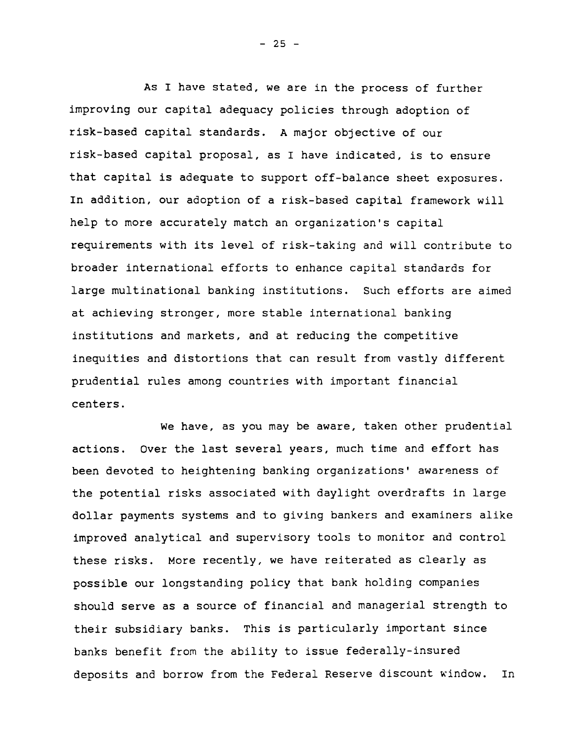As I have stated, we are in the process of further improving our capital adequacy policies through adoption of risk-based capital standards. A major objective of our risk-based capital proposal, as I have indicated, is to ensure that capital is adequate to support off-balance sheet exposures. In addition, our adoption of a risk-based capital framework will help to more accurately match an organization's capital requirements with its level of risk-taking and will contribute to broader international efforts to enhance capital standards for large multinational banking institutions. Such efforts are aimed at achieving stronger, more stable international banking institutions and markets, and at reducing the competitive inequities and distortions that can result from vastly different prudential rules among countries with important financial centers.

We have, as you may be aware, taken other prudential actions. Over the last several years, much time and effort has been devoted to heightening banking organizations' awareness of the potential risks associated with daylight overdrafts in large dollar payments systems and to giving bankers and examiners alike improved analytical and supervisory tools to monitor and control these risks. More recently, we have reiterated as clearly as possible our longstanding policy that bank holding companies should serve as a source of financial and managerial strength to their subsidiary banks. This is particularly important since banks benefit from the ability to issue federally-insured deposits and borrow from the Federal Reserve discount window. In

**- 25 -**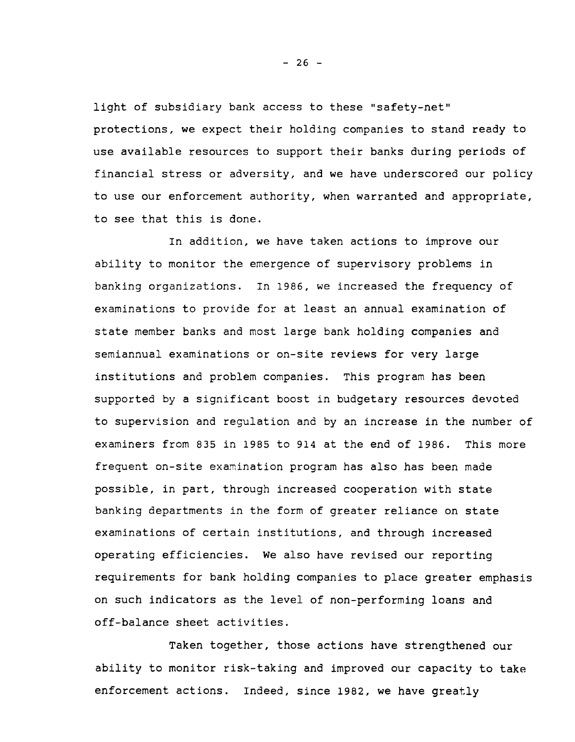light of subsidiary bank access to these "safety-net" protections, we expect their holding companies to stand ready to use available resources to support their banks during periods of financial stress or adversity, and we have underscored our policy to use our enforcement authority, when warranted and appropriate, to see that this is done.

In addition, we have taken actions to improve our ability to monitor the emergence of supervisory problems in banking organizations. In 1986, we increased the frequency of examinations to provide for at least an annual examination of state member banks and most large bank holding companies and semiannual examinations or on-site reviews for very large institutions and problem companies. This program has been supported by a significant boost in budgetary resources devoted to supervision and regulation and by an increase in the number of examiners from 835 in 1985 to 914 at the end of 1986. This more frequent on-site examination program has also has been made possible, in part, through increased cooperation with state banking departments in the form of greater reliance on state examinations of certain institutions, and through increased operating efficiencies. We also have revised our reporting requirements for bank holding companies to place greater emphasis on such indicators as the level of non-performing loans and off-balance sheet activities.

Taken together, those actions have strengthened our ability to monitor risk-taking and improved our capacity to take enforcement actions. Indeed, since 1982, we have greatly

**- 26 -**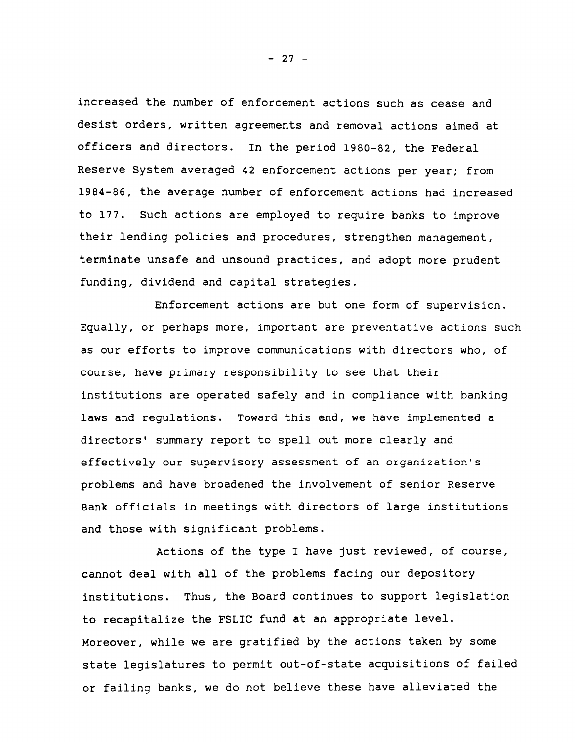increased the number of enforcement actions such as cease and desist orders, written agreements and removal actions aimed at officers and directors. In the period 1980-82, the Federal Reserve System averaged 42 enforcement actions per year; from 1984-86, the average number of enforcement actions had increased to 177. Such actions are employed to require banks to improve their lending policies and procedures, strengthen management, terminate unsafe and unsound practices, and adopt more prudent funding, dividend and capital strategies.

Enforcement actions are but one form of supervision. Equally, or perhaps more, important are preventative actions such as our efforts to improve communications with directors who, of course, have primary responsibility to see that their institutions are operated safely and in compliance with banking laws and regulations. Toward this end, we have implemented a directors' summary report to spell out more clearly and effectively our supervisory assessment of an organization's problems and have broadened the involvement of senior Reserve Bank officials in meetings with directors of large institutions and those with significant problems.

Actions of the type I have just reviewed, of course, cannot deal with all of the problems facing our depository institutions. Thus, the Board continues to support legislation to recapitalize the FSLIC fund at an appropriate level. Moreover, while we are gratified by the actions taken by some state legislatures to permit out-of-state acquisitions of failed or failing banks, we do not believe these have alleviated the

**- 27 -**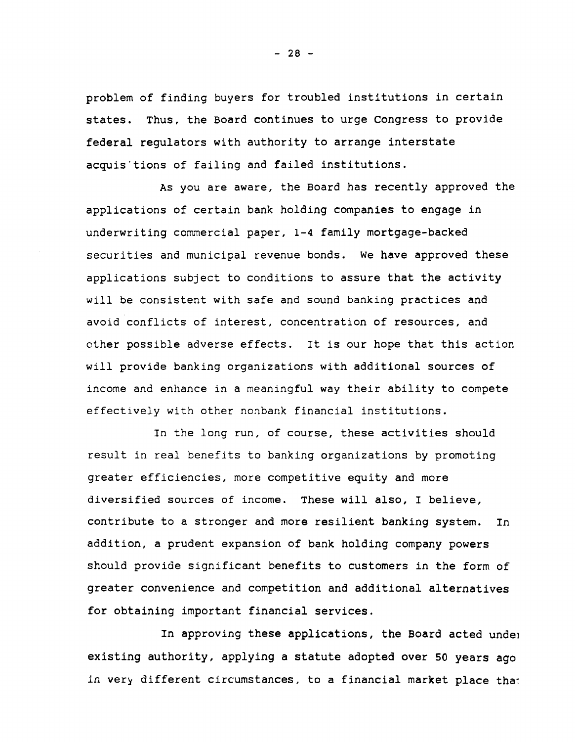problem of finding buyers for troubled institutions in certain states. Thus, the Board continues to urge Congress to provide federal regulators with authority to arrange interstate acquis'tions of failing and failed institutions.

As you are aware, the Board has recently approved the applications of certain bank holding companies to engage in underwriting commercial paper, 1-4 family mortgage-backed securities and municipal revenue bonds. We have approved these applications subject to conditions to assure that the activity will be consistent with safe and sound banking practices and avoid conflicts of interest, concentration of resources, and other possible adverse effects. It is our hope that this action will provide banking organizations with additional sources of income and enhance in a meaningful way their ability to compete effectively with other nonbank financial institutions.

In the long run, of course, these activities should result in real benefits to banking organizations by promoting greater efficiencies, more competitive equity and more diversified sources of income. These will also, I believe, contribute to a stronger and more resilient banking system. In addition, a prudent expansion of bank holding company powers should provide significant benefits to customers in the form of greater convenience and competition and additional alternatives for obtaining important financial services.

**In approving these applications, the Board acted undej existing authority, applying a statute adopted over 50 years ago in very different circumstances, to a financial market place thai**

**- 28 -**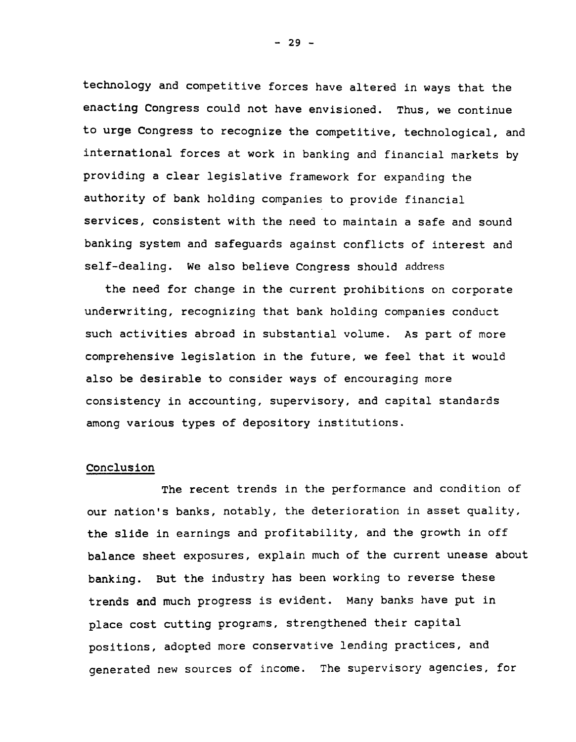technology and competitive forces have altered in ways that the enacting Congress could not have envisioned. Thus, we continue to urge Congress to recognize the competitive, technological, and international forces at work in banking and financial markets by providing a clear legislative framework for expanding the authority of bank holding companies to provide financial services, consistent with the need to maintain a safe and sound banking system and safeguards against conflicts of interest and self-dealing. We also believe Congress should address

the need for change in the current prohibitions on corporate underwriting, recognizing that bank holding companies conduct such activities abroad in substantial volume. As part of more comprehensive legislation in the future, we feel that it would also be desirable to consider ways of encouraging more consistency in accounting, supervisory, and capital standards among various types of depository institutions.

### Conclusion

The recent trends in the performance and condition of our nation's banks, notably, the deterioration in asset quality, the slide in earnings and profitability, and the growth in off balance sheet exposures, explain much of the current unease about banking. But the industry has been working to reverse these trends and much progress is evident. Many banks have put in place cost cutting programs, strengthened their capital positions, adopted more conservative lending practices, and generated new sources of income. The supervisory agencies, for